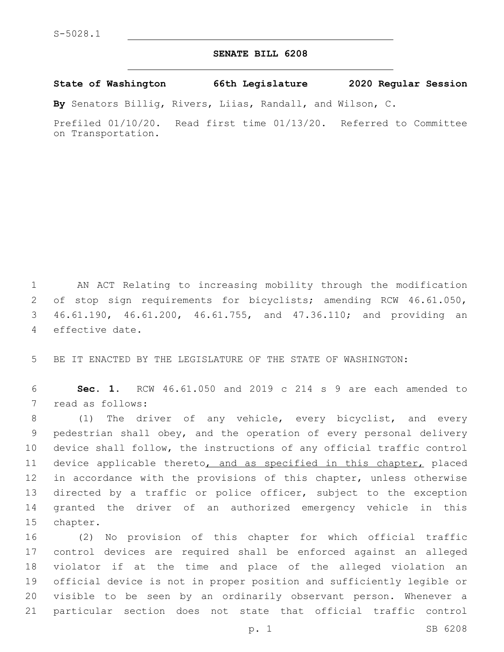## **SENATE BILL 6208**

**State of Washington 66th Legislature 2020 Regular Session**

**By** Senators Billig, Rivers, Liias, Randall, and Wilson, C.

Prefiled 01/10/20. Read first time 01/13/20. Referred to Committee on Transportation.

 AN ACT Relating to increasing mobility through the modification of stop sign requirements for bicyclists; amending RCW 46.61.050, 46.61.190, 46.61.200, 46.61.755, and 47.36.110; and providing an 4 effective date.

5 BE IT ENACTED BY THE LEGISLATURE OF THE STATE OF WASHINGTON:

6 **Sec. 1.** RCW 46.61.050 and 2019 c 214 s 9 are each amended to 7 read as follows:

 (1) The driver of any vehicle, every bicyclist, and every pedestrian shall obey, and the operation of every personal delivery device shall follow, the instructions of any official traffic control 11 device applicable thereto, and as specified in this chapter, placed 12 in accordance with the provisions of this chapter, unless otherwise directed by a traffic or police officer, subject to the exception granted the driver of an authorized emergency vehicle in this 15 chapter.

 (2) No provision of this chapter for which official traffic control devices are required shall be enforced against an alleged violator if at the time and place of the alleged violation an official device is not in proper position and sufficiently legible or visible to be seen by an ordinarily observant person. Whenever a particular section does not state that official traffic control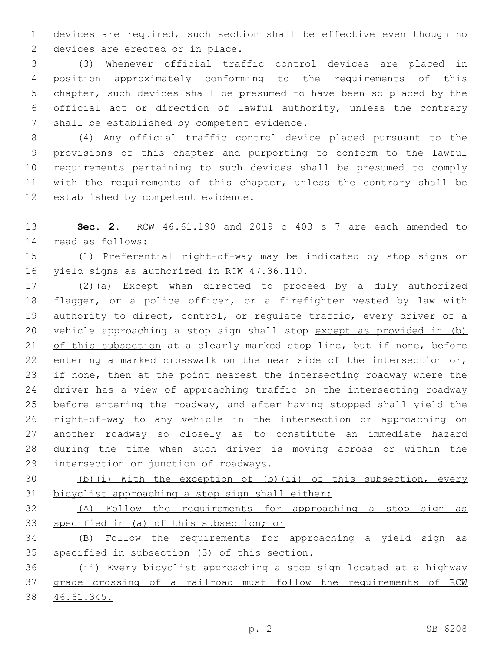devices are required, such section shall be effective even though no 2 devices are erected or in place.

 (3) Whenever official traffic control devices are placed in position approximately conforming to the requirements of this chapter, such devices shall be presumed to have been so placed by the official act or direction of lawful authority, unless the contrary 7 shall be established by competent evidence.

 (4) Any official traffic control device placed pursuant to the provisions of this chapter and purporting to conform to the lawful requirements pertaining to such devices shall be presumed to comply with the requirements of this chapter, unless the contrary shall be 12 established by competent evidence.

 **Sec. 2.** RCW 46.61.190 and 2019 c 403 s 7 are each amended to read as follows:14

 (1) Preferential right-of-way may be indicated by stop signs or 16 yield signs as authorized in RCW 47.36.110.

 (2)(a) Except when directed to proceed by a duly authorized flagger, or a police officer, or a firefighter vested by law with authority to direct, control, or regulate traffic, every driver of a vehicle approaching a stop sign shall stop except as provided in (b) of this subsection at a clearly marked stop line, but if none, before entering a marked crosswalk on the near side of the intersection or, if none, then at the point nearest the intersecting roadway where the driver has a view of approaching traffic on the intersecting roadway before entering the roadway, and after having stopped shall yield the right-of-way to any vehicle in the intersection or approaching on another roadway so closely as to constitute an immediate hazard during the time when such driver is moving across or within the 29 intersection or junction of roadways.

 (b)(i) With the exception of (b)(ii) of this subsection, every bicyclist approaching a stop sign shall either:

 (A) Follow the requirements for approaching a stop sign as specified in (a) of this subsection; or

 (B) Follow the requirements for approaching a yield sign as specified in subsection (3) of this section.

 (ii) Every bicyclist approaching a stop sign located at a highway grade crossing of a railroad must follow the requirements of RCW 46.61.345.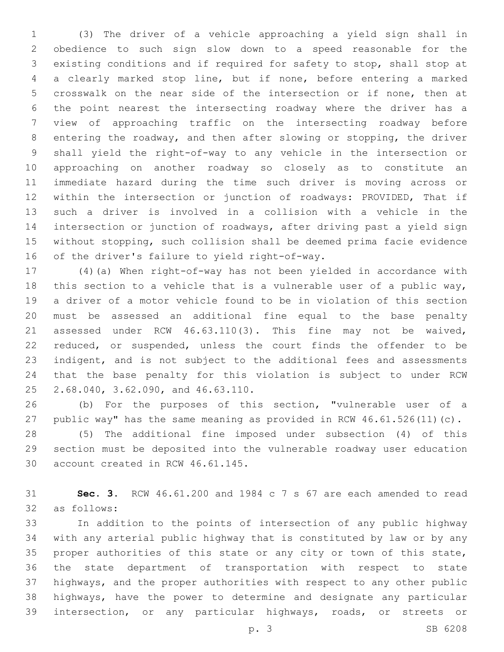(3) The driver of a vehicle approaching a yield sign shall in obedience to such sign slow down to a speed reasonable for the existing conditions and if required for safety to stop, shall stop at a clearly marked stop line, but if none, before entering a marked crosswalk on the near side of the intersection or if none, then at the point nearest the intersecting roadway where the driver has a view of approaching traffic on the intersecting roadway before entering the roadway, and then after slowing or stopping, the driver shall yield the right-of-way to any vehicle in the intersection or approaching on another roadway so closely as to constitute an immediate hazard during the time such driver is moving across or within the intersection or junction of roadways: PROVIDED, That if such a driver is involved in a collision with a vehicle in the intersection or junction of roadways, after driving past a yield sign without stopping, such collision shall be deemed prima facie evidence 16 of the driver's failure to yield right-of-way.

 (4)(a) When right-of-way has not been yielded in accordance with this section to a vehicle that is a vulnerable user of a public way, a driver of a motor vehicle found to be in violation of this section must be assessed an additional fine equal to the base penalty assessed under RCW 46.63.110(3). This fine may not be waived, reduced, or suspended, unless the court finds the offender to be indigent, and is not subject to the additional fees and assessments that the base penalty for this violation is subject to under RCW 25 2.68.040, 3.62.090, and 46.63.110.

 (b) For the purposes of this section, "vulnerable user of a public way" has the same meaning as provided in RCW 46.61.526(11)(c).

 (5) The additional fine imposed under subsection (4) of this section must be deposited into the vulnerable roadway user education 30 account created in RCW 46.61.145.

 **Sec. 3.** RCW 46.61.200 and 1984 c 7 s 67 are each amended to read as follows:32

 In addition to the points of intersection of any public highway with any arterial public highway that is constituted by law or by any proper authorities of this state or any city or town of this state, the state department of transportation with respect to state highways, and the proper authorities with respect to any other public highways, have the power to determine and designate any particular intersection, or any particular highways, roads, or streets or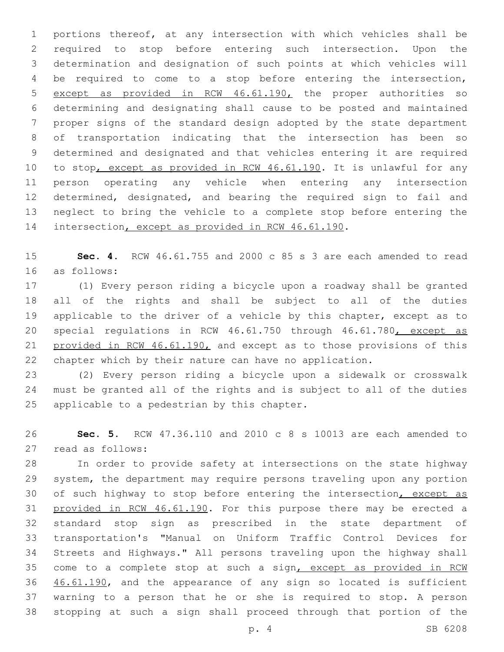portions thereof, at any intersection with which vehicles shall be required to stop before entering such intersection. Upon the determination and designation of such points at which vehicles will be required to come to a stop before entering the intersection, except as provided in RCW 46.61.190, the proper authorities so determining and designating shall cause to be posted and maintained proper signs of the standard design adopted by the state department of transportation indicating that the intersection has been so determined and designated and that vehicles entering it are required 10 to stop, except as provided in RCW 46.61.190. It is unlawful for any person operating any vehicle when entering any intersection determined, designated, and bearing the required sign to fail and neglect to bring the vehicle to a complete stop before entering the 14 intersection, except as provided in RCW 46.61.190.

 **Sec. 4.** RCW 46.61.755 and 2000 c 85 s 3 are each amended to read as follows:16

 (1) Every person riding a bicycle upon a roadway shall be granted all of the rights and shall be subject to all of the duties applicable to the driver of a vehicle by this chapter, except as to 20 special regulations in RCW 46.61.750 through 46.61.780, except as 21 provided in RCW 46.61.190, and except as to those provisions of this chapter which by their nature can have no application.

 (2) Every person riding a bicycle upon a sidewalk or crosswalk must be granted all of the rights and is subject to all of the duties 25 applicable to a pedestrian by this chapter.

 **Sec. 5.** RCW 47.36.110 and 2010 c 8 s 10013 are each amended to read as follows:27

 In order to provide safety at intersections on the state highway system, the department may require persons traveling upon any portion 30 of such highway to stop before entering the intersection, except as 31 provided in RCW 46.61.190. For this purpose there may be erected a standard stop sign as prescribed in the state department of transportation's "Manual on Uniform Traffic Control Devices for Streets and Highways." All persons traveling upon the highway shall come to a complete stop at such a sign, except as provided in RCW 36 46.61.190, and the appearance of any sign so located is sufficient warning to a person that he or she is required to stop. A person stopping at such a sign shall proceed through that portion of the